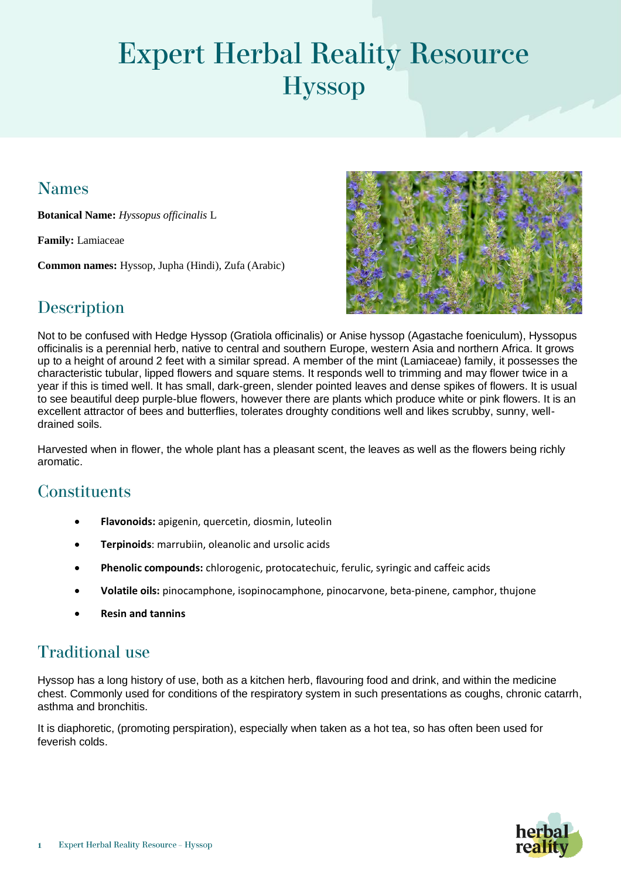# **Expert Herbal Reality Resource Hyssop**

#### **Names**

**Botanical Name:** *Hyssopus officinalis* L

**Family:** Lamiaceae

**Common names:** Hyssop, Jupha (Hindi), Zufa (Arabic)



# **Description**

Not to be confused with Hedge Hyssop (Gratiola officinalis) or Anise hyssop (Agastache foeniculum), Hyssopus officinalis is a perennial herb, native to central and southern Europe, western Asia and northern Africa. It grows up to a height of around 2 feet with a similar spread. A member of the mint (Lamiaceae) family, it possesses the characteristic tubular, lipped flowers and square stems. It responds well to trimming and may flower twice in a year if this is timed well. It has small, dark-green, slender pointed leaves and dense spikes of flowers. It is usual to see beautiful deep purple-blue flowers, however there are plants which produce white or pink flowers. It is an excellent attractor of bees and butterflies, tolerates droughty conditions well and likes scrubby, sunny, welldrained soils.

Harvested when in flower, the whole plant has a pleasant scent, the leaves as well as the flowers being richly aromatic.

## **Constituents**

- **Flavonoids:** apigenin, quercetin, diosmin, luteolin
- **Terpinoids**: marrubiin, oleanolic and ursolic acids
- **Phenolic compounds:** chlorogenic, protocatechuic, ferulic, syringic and caffeic acids
- **Volatile oils:** pinocamphone, isopinocamphone, pinocarvone, beta-pinene, camphor, thujone
- **Resin and tannins**

## **Traditional use**

Hyssop has a long history of use, both as a kitchen herb, flavouring food and drink, and within the medicine chest. Commonly used for conditions of the respiratory system in such presentations as coughs, chronic catarrh, asthma and bronchitis.

It is diaphoretic, (promoting perspiration), especially when taken as a hot tea, so has often been used for feverish colds.

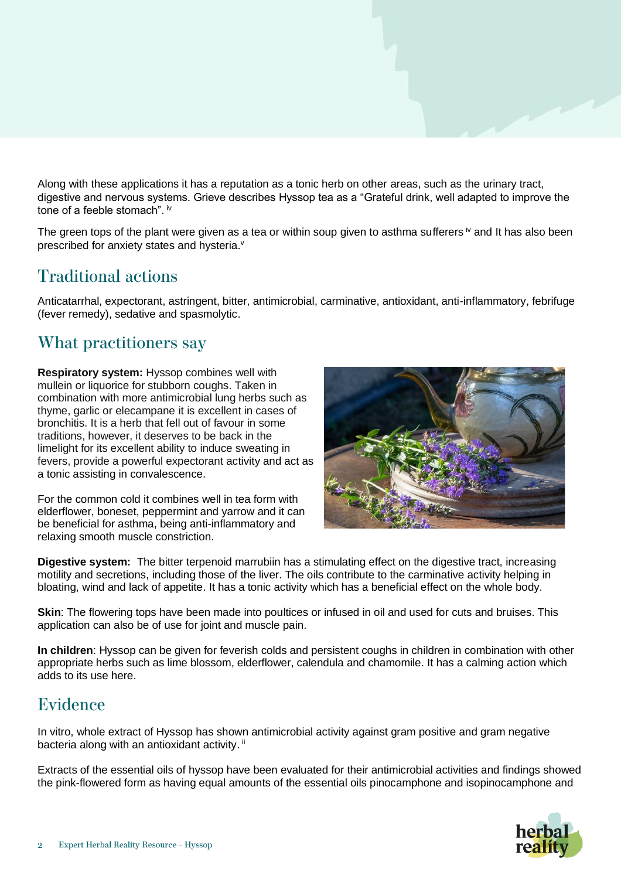Along with these applications it has a reputation as a tonic herb on other areas, such as the urinary tract, digestive and nervous systems. Grieve describes Hyssop tea as a "Grateful drink, well adapted to improve the tone of a feeble stomach". iv

The green tops of the plant were given as a tea or within soup given to asthma sufferers  $\dot{v}$  and It has also been prescribed for anxiety states and hysteria.<sup>v</sup>

#### **Traditional actions**

Anticatarrhal, expectorant, astringent, bitter, antimicrobial, carminative, antioxidant, anti-inflammatory, febrifuge (fever remedy), sedative and spasmolytic.

#### What practitioners say

**Respiratory system:** Hyssop combines well with mullein or liquorice for stubborn coughs. Taken in combination with more antimicrobial lung herbs such as thyme, garlic or elecampane it is excellent in cases of bronchitis. It is a herb that fell out of favour in some traditions, however, it deserves to be back in the limelight for its excellent ability to induce sweating in fevers, provide a powerful expectorant activity and act as a tonic assisting in convalescence.

For the common cold it combines well in tea form with elderflower, boneset, peppermint and yarrow and it can be beneficial for asthma, being anti-inflammatory and relaxing smooth muscle constriction.



**Digestive system:** The bitter terpenoid marrubiin has a stimulating effect on the digestive tract, increasing motility and secretions, including those of the liver. The oils contribute to the carminative activity helping in bloating, wind and lack of appetite. It has a tonic activity which has a beneficial effect on the whole body.

**Skin**: The flowering tops have been made into poultices or infused in oil and used for cuts and bruises. This application can also be of use for joint and muscle pain.

**In children**: Hyssop can be given for feverish colds and persistent coughs in children in combination with other appropriate herbs such as lime blossom, elderflower, calendula and chamomile. It has a calming action which adds to its use here.

#### Evidence

In vitro, whole extract of Hyssop has shown antimicrobial activity against gram positive and gram negative bacteria along with an antioxidant activity. ii

Extracts of the essential oils of hyssop have been evaluated for their antimicrobial activities and findings showed the pink-flowered form as having equal amounts of the essential oils pinocamphone and isopinocamphone and

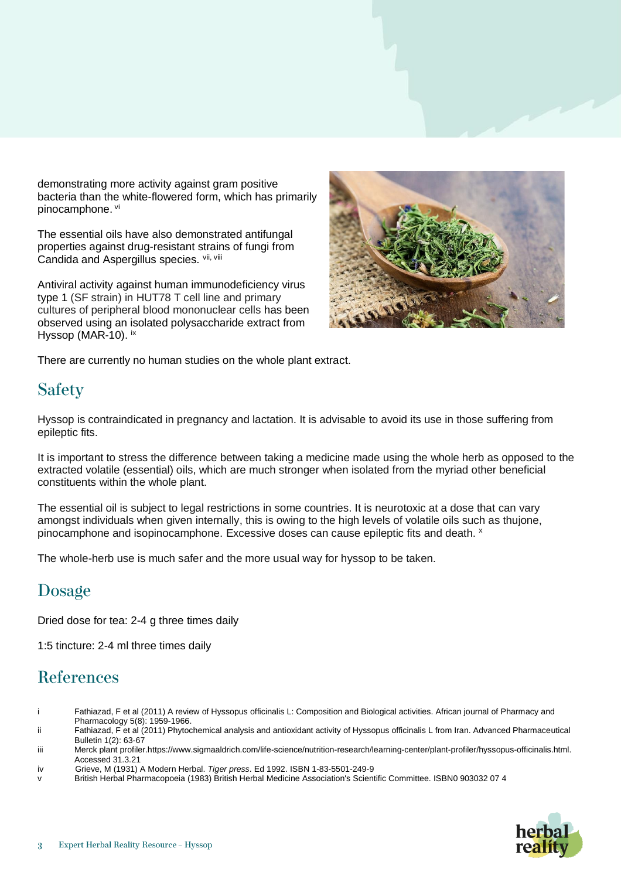demonstrating more activity against gram positive bacteria than the white-flowered form, which has primarily pinocamphone. vi

The essential oils have also demonstrated antifungal properties against drug-resistant strains of fungi from Candida and Aspergillus species. Vii, Viii

Antiviral activity against human immunodeficiency virus type 1 (SF strain) in HUT78 T cell line and primary cultures of peripheral blood mononuclear cells has been observed using an isolated polysaccharide extract from Hyssop (MAR-10). ix



There are currently no human studies on the whole plant extract.

## **Safety**

Hyssop is contraindicated in pregnancy and lactation. It is advisable to avoid its use in those suffering from epileptic fits.

It is important to stress the difference between taking a medicine made using the whole herb as opposed to the extracted volatile (essential) oils, which are much stronger when isolated from the myriad other beneficial constituents within the whole plant.

The essential oil is subject to legal restrictions in some countries. It is neurotoxic at a dose that can vary amongst individuals when given internally, this is owing to the high levels of volatile oils such as thujone, pinocamphone and isopinocamphone. Excessive doses can cause epileptic fits and death. <sup>x</sup>

The whole-herb use is much safer and the more usual way for hyssop to be taken.

## Dosage

Dried dose for tea: 2-4 g three times daily

1:5 tincture: 2-4 ml three times daily

## **References**

- i Fathiazad, F et al (2011) A review of Hyssopus officinalis L: Composition and Biological activities. African journal of Pharmacy and Pharmacology 5(8): 1959-1966.
- ii Fathiazad, F et al (2011) Phytochemical analysis and antioxidant activity of Hyssopus officinalis L from Iran. Advanced Pharmaceutical Bulletin 1(2): 63-67
- iii Merck plant profile[r.https://www.sigmaaldrich.com/life-science/nutrition-research/learning-center/plant-profiler/hyssopus-officinalis.html.](https://www.sigmaaldrich.com/life-science/nutrition-research/learning-center/plant-profiler/hyssopus-officinalis.html)  Accessed 31.3.21
- iv Grieve, M (1931) A Modern Herbal. *Tiger press*. Ed 1992. ISBN 1-83-5501-249-9
- British Herbal Pharmacopoeia (1983) British Herbal Medicine Association's Scientific Committee. ISBN0 903032 07 4